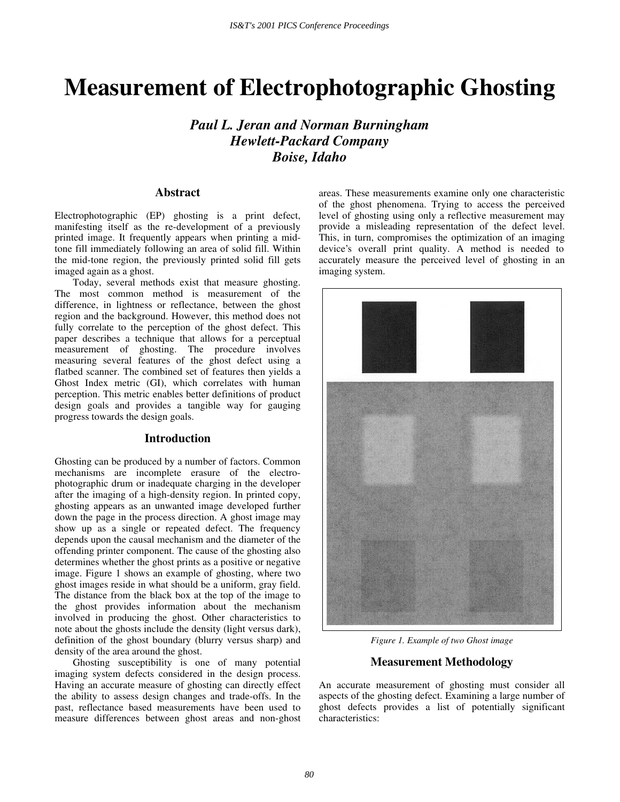# **Measurement of Electrophotographic Ghosting**

*Paul L. Jeran and Norman Burningham Hewlett-Packard Company Boise, Idaho* 

## **Abstract**

Electrophotographic (EP) ghosting is a print defect, manifesting itself as the re-development of a previously printed image. It frequently appears when printing a midtone fill immediately following an area of solid fill. Within the mid-tone region, the previously printed solid fill gets imaged again as a ghost.

Today, several methods exist that measure ghosting. The most common method is measurement of the difference, in lightness or reflectance, between the ghost region and the background. However, this method does not fully correlate to the perception of the ghost defect. This paper describes a technique that allows for a perceptual measurement of ghosting. The procedure involves measuring several features of the ghost defect using a flatbed scanner. The combined set of features then yields a Ghost Index metric (GI), which correlates with human perception. This metric enables better definitions of product design goals and provides a tangible way for gauging progress towards the design goals.

### **Introduction**

Ghosting can be produced by a number of factors. Common mechanisms are incomplete erasure of the electrophotographic drum or inadequate charging in the developer after the imaging of a high-density region. In printed copy, ghosting appears as an unwanted image developed further down the page in the process direction. A ghost image may show up as a single or repeated defect. The frequency depends upon the causal mechanism and the diameter of the offending printer component. The cause of the ghosting also determines whether the ghost prints as a positive or negative image. Figure 1 shows an example of ghosting, where two ghost images reside in what should be a uniform, gray field. The distance from the black box at the top of the image to the ghost provides information about the mechanism involved in producing the ghost. Other characteristics to note about the ghosts include the density (light versus dark), definition of the ghost boundary (blurry versus sharp) and density of the area around the ghost.

Ghosting susceptibility is one of many potential imaging system defects considered in the design process. Having an accurate measure of ghosting can directly effect the ability to assess design changes and trade-offs. In the past, reflectance based measurements have been used to measure differences between ghost areas and non-ghost areas. These measurements examine only one characteristic of the ghost phenomena. Trying to access the perceived level of ghosting using only a reflective measurement may provide a misleading representation of the defect level. This, in turn, compromises the optimization of an imaging device's overall print quality. A method is needed to accurately measure the perceived level of ghosting in an imaging system.



*Figure 1. Example of two Ghost image* 

### **Measurement Methodology**

An accurate measurement of ghosting must consider all aspects of the ghosting defect. Examining a large number of ghost defects provides a list of potentially significant characteristics: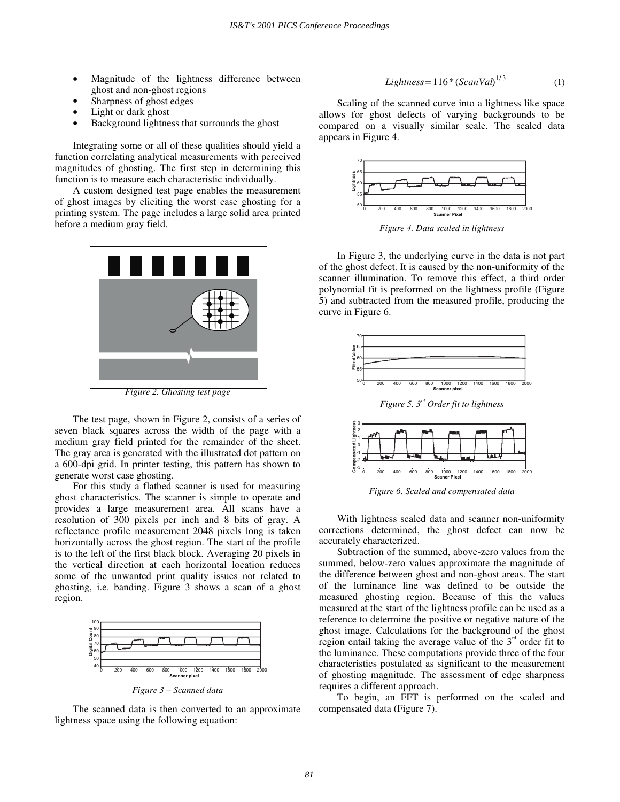- Magnitude of the lightness difference between ghost and non-ghost regions
- Sharpness of ghost edges
- Light or dark ghost
- Background lightness that surrounds the ghost

Integrating some or all of these qualities should yield a function correlating analytical measurements with perceived magnitudes of ghosting. The first step in determining this function is to measure each characteristic individually.

A custom designed test page enables the measurement of ghost images by eliciting the worst case ghosting for a printing system. The page includes a large solid area printed before a medium gray field.



*Figure 2. Ghosting test page* 

The test page, shown in Figure 2, consists of a series of seven black squares across the width of the page with a medium gray field printed for the remainder of the sheet. The gray area is generated with the illustrated dot pattern on a 600-dpi grid. In printer testing, this pattern has shown to generate worst case ghosting.

For this study a flatbed scanner is used for measuring ghost characteristics. The scanner is simple to operate and provides a large measurement area. All scans have a resolution of 300 pixels per inch and 8 bits of gray. A reflectance profile measurement 2048 pixels long is taken horizontally across the ghost region. The start of the profile is to the left of the first black block. Averaging 20 pixels in the vertical direction at each horizontal location reduces some of the unwanted print quality issues not related to ghosting, i.e. banding. Figure 3 shows a scan of a ghost region.



*Figure 3 – Scanned data* 

The scanned data is then converted to an approximate lightness space using the following equation:

$$
Lightness = 116 * (ScanVal)^{1/3}
$$
 (1)

Scaling of the scanned curve into a lightness like space allows for ghost defects of varying backgrounds to be compared on a visually similar scale. The scaled data appears in Figure 4.



*Figure 4. Data scaled in lightness* 

In Figure 3, the underlying curve in the data is not part of the ghost defect. It is caused by the non-uniformity of the scanner illumination. To remove this effect, a third order polynomial fit is preformed on the lightness profile (Figure 5) and subtracted from the measured profile, producing the curve in Figure 6.





*Figure 6. Scaled and compensated data*

With lightness scaled data and scanner non-uniformity corrections determined, the ghost defect can now be accurately characterized.

Subtraction of the summed, above-zero values from the summed, below-zero values approximate the magnitude of the difference between ghost and non-ghost areas. The start of the luminance line was defined to be outside the measured ghosting region. Because of this the values measured at the start of the lightness profile can be used as a reference to determine the positive or negative nature of the ghost image. Calculations for the background of the ghost region entail taking the average value of the  $3<sup>rd</sup>$  order fit to the luminance. These computations provide three of the four characteristics postulated as significant to the measurement of ghosting magnitude. The assessment of edge sharpness requires a different approach.

To begin, an FFT is performed on the scaled and compensated data (Figure 7).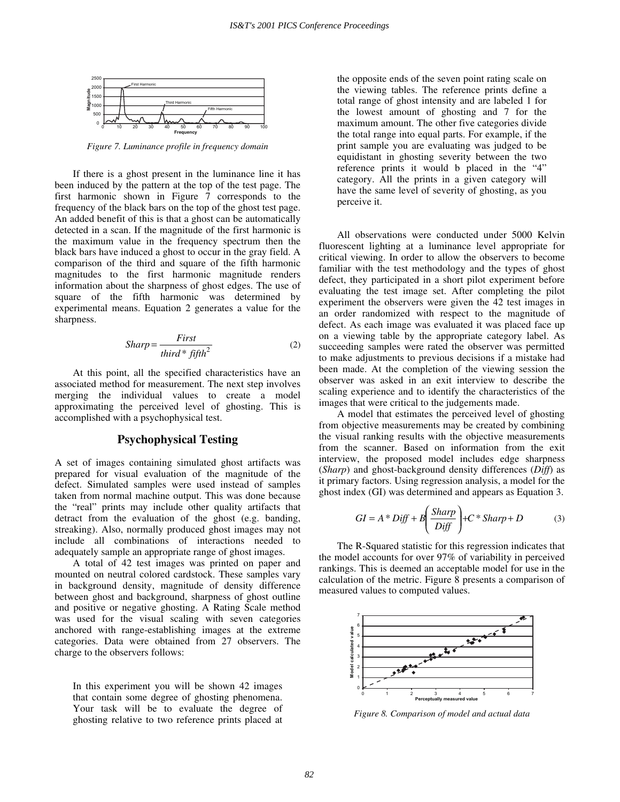

*Figure 7. Luminance profile in frequency domain* 

If there is a ghost present in the luminance line it has been induced by the pattern at the top of the test page. The first harmonic shown in Figure 7 corresponds to the frequency of the black bars on the top of the ghost test page. An added benefit of this is that a ghost can be automatically detected in a scan. If the magnitude of the first harmonic is the maximum value in the frequency spectrum then the black bars have induced a ghost to occur in the gray field. A comparison of the third and square of the fifth harmonic magnitudes to the first harmonic magnitude renders information about the sharpness of ghost edges. The use of square of the fifth harmonic was determined by experimental means. Equation 2 generates a value for the sharpness.

$$
Sharp = \frac{First}{third * fifth^2}
$$
 (2)

At this point, all the specified characteristics have an associated method for measurement. The next step involves merging the individual values to create a model approximating the perceived level of ghosting. This is accomplished with a psychophysical test.

## **Psychophysical Testing**

A set of images containing simulated ghost artifacts was prepared for visual evaluation of the magnitude of the defect. Simulated samples were used instead of samples taken from normal machine output. This was done because the "real" prints may include other quality artifacts that detract from the evaluation of the ghost (e.g. banding, streaking). Also, normally produced ghost images may not include all combinations of interactions needed to adequately sample an appropriate range of ghost images.

A total of 42 test images was printed on paper and mounted on neutral colored cardstock. These samples vary in background density, magnitude of density difference between ghost and background, sharpness of ghost outline and positive or negative ghosting. A Rating Scale method was used for the visual scaling with seven categories anchored with range-establishing images at the extreme categories. Data were obtained from 27 observers. The charge to the observers follows:

In this experiment you will be shown 42 images that contain some degree of ghosting phenomena. Your task will be to evaluate the degree of ghosting relative to two reference prints placed at the opposite ends of the seven point rating scale on the viewing tables. The reference prints define a total range of ghost intensity and are labeled 1 for the lowest amount of ghosting and 7 for the maximum amount. The other five categories divide the total range into equal parts. For example, if the print sample you are evaluating was judged to be equidistant in ghosting severity between the two reference prints it would b placed in the "4" category. All the prints in a given category will have the same level of severity of ghosting, as you perceive it.

All observations were conducted under 5000 Kelvin fluorescent lighting at a luminance level appropriate for critical viewing. In order to allow the observers to become familiar with the test methodology and the types of ghost defect, they participated in a short pilot experiment before evaluating the test image set. After completing the pilot experiment the observers were given the 42 test images in an order randomized with respect to the magnitude of defect. As each image was evaluated it was placed face up on a viewing table by the appropriate category label. As succeeding samples were rated the observer was permitted to make adjustments to previous decisions if a mistake had been made. At the completion of the viewing session the observer was asked in an exit interview to describe the scaling experience and to identify the characteristics of the images that were critical to the judgements made.

A model that estimates the perceived level of ghosting from objective measurements may be created by combining the visual ranking results with the objective measurements from the scanner. Based on information from the exit interview, the proposed model includes edge sharpness (*Sharp*) and ghost-background density differences (*Diff*) as it primary factors. Using regression analysis, a model for the ghost index (GI) was determined and appears as Equation 3.

$$
GI = A * Diff + B\left(\frac{Sharp}{Diff}\right) + C * Sharp + D
$$
 (3)

The R-Squared statistic for this regression indicates that the model accounts for over 97% of variability in perceived rankings. This is deemed an acceptable model for use in the calculation of the metric. Figure 8 presents a comparison of measured values to computed values.



*Figure 8. Comparison of model and actual data*